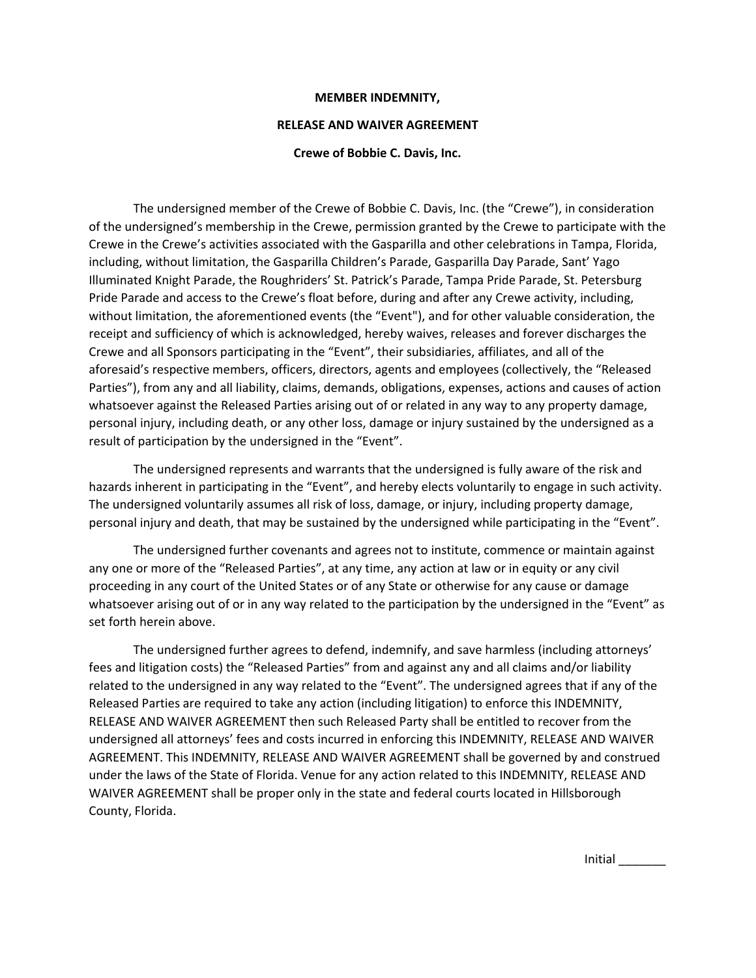## **MEMBER INDEMNITY,**

## **RELEASE AND WAIVER AGREEMENT**

## **Crewe of Bobbie C. Davis, Inc.**

The undersigned member of the Crewe of Bobbie C. Davis, Inc. (the "Crewe"), in consideration of the undersigned's membership in the Crewe, permission granted by the Crewe to participate with the Crewe in the Crewe's activities associated with the Gasparilla and other celebrations in Tampa, Florida, including, without limitation, the Gasparilla Children's Parade, Gasparilla Day Parade, Sant' Yago Illuminated Knight Parade, the Roughriders' St. Patrick's Parade, Tampa Pride Parade, St. Petersburg Pride Parade and access to the Crewe's float before, during and after any Crewe activity, including, without limitation, the aforementioned events (the "Event"), and for other valuable consideration, the receipt and sufficiency of which is acknowledged, hereby waives, releases and forever discharges the Crewe and all Sponsors participating in the "Event", their subsidiaries, affiliates, and all of the aforesaid's respective members, officers, directors, agents and employees (collectively, the "Released Parties"), from any and all liability, claims, demands, obligations, expenses, actions and causes of action whatsoever against the Released Parties arising out of or related in any way to any property damage, personal injury, including death, or any other loss, damage or injury sustained by the undersigned as a result of participation by the undersigned in the "Event".

The undersigned represents and warrants that the undersigned is fully aware of the risk and hazards inherent in participating in the "Event", and hereby elects voluntarily to engage in such activity. The undersigned voluntarily assumes all risk of loss, damage, or injury, including property damage, personal injury and death, that may be sustained by the undersigned while participating in the "Event".

The undersigned further covenants and agrees not to institute, commence or maintain against any one or more of the "Released Parties", at any time, any action at law or in equity or any civil proceeding in any court of the United States or of any State or otherwise for any cause or damage whatsoever arising out of or in any way related to the participation by the undersigned in the "Event" as set forth herein above.

The undersigned further agrees to defend, indemnify, and save harmless (including attorneys' fees and litigation costs) the "Released Parties" from and against any and all claims and/or liability related to the undersigned in any way related to the "Event". The undersigned agrees that if any of the Released Parties are required to take any action (including litigation) to enforce this INDEMNITY, RELEASE AND WAIVER AGREEMENT then such Released Party shall be entitled to recover from the undersigned all attorneys' fees and costs incurred in enforcing this INDEMNITY, RELEASE AND WAIVER AGREEMENT. This INDEMNITY, RELEASE AND WAIVER AGREEMENT shall be governed by and construed under the laws of the State of Florida. Venue for any action related to this INDEMNITY, RELEASE AND WAIVER AGREEMENT shall be proper only in the state and federal courts located in Hillsborough County, Florida.

Initial \_\_\_\_\_\_\_